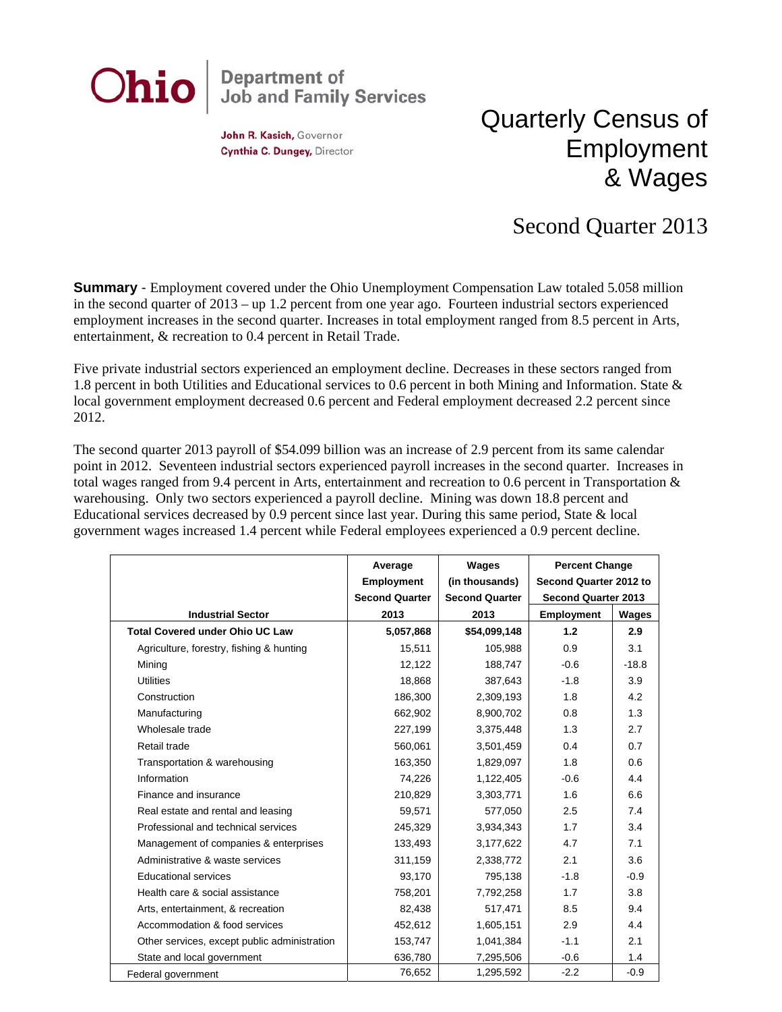

John R. Kasich, Governor Cynthia C. Dungey, Director

## Quarterly Census of Employment & Wages

## Second Quarter 2013

**Summary** - Employment covered under the Ohio Unemployment Compensation Law totaled 5.058 million in the second quarter of 2013 – up 1.2 percent from one year ago. Fourteen industrial sectors experienced employment increases in the second quarter. Increases in total employment ranged from 8.5 percent in Arts, entertainment, & recreation to 0.4 percent in Retail Trade.

Five private industrial sectors experienced an employment decline. Decreases in these sectors ranged from 1.8 percent in both Utilities and Educational services to 0.6 percent in both Mining and Information. State & local government employment decreased 0.6 percent and Federal employment decreased 2.2 percent since 2012.

The second quarter 2013 payroll of \$54.099 billion was an increase of 2.9 percent from its same calendar point in 2012. Seventeen industrial sectors experienced payroll increases in the second quarter. Increases in total wages ranged from 9.4 percent in Arts, entertainment and recreation to 0.6 percent in Transportation & warehousing. Only two sectors experienced a payroll decline. Mining was down 18.8 percent and Educational services decreased by 0.9 percent since last year. During this same period, State & local government wages increased 1.4 percent while Federal employees experienced a 0.9 percent decline.

|                                              | Average               | Wages                 | <b>Percent Change</b>      |         |
|----------------------------------------------|-----------------------|-----------------------|----------------------------|---------|
|                                              | <b>Employment</b>     | (in thousands)        | Second Quarter 2012 to     |         |
|                                              | <b>Second Quarter</b> | <b>Second Quarter</b> | <b>Second Quarter 2013</b> |         |
| <b>Industrial Sector</b>                     | 2013                  | 2013                  | <b>Employment</b>          | Wages   |
| <b>Total Covered under Ohio UC Law</b>       | 5,057,868             | \$54,099,148          | 1.2                        | 2.9     |
| Agriculture, forestry, fishing & hunting     | 15,511                | 105,988               | 0.9                        | 3.1     |
| Mining                                       | 12,122                | 188,747               | $-0.6$                     | $-18.8$ |
| <b>Utilities</b>                             | 18,868                | 387,643               | $-1.8$                     | 3.9     |
| Construction                                 | 186,300               | 2,309,193             | 1.8                        | 4.2     |
| Manufacturing                                | 662,902               | 8,900,702             | 0.8                        | 1.3     |
| Wholesale trade                              | 227,199               | 3,375,448             | 1.3                        | 2.7     |
| Retail trade                                 | 560,061               | 3,501,459             | 0.4                        | 0.7     |
| Transportation & warehousing                 | 163,350               | 1,829,097             | 1.8                        | 0.6     |
| Information                                  | 74,226                | 1,122,405             | $-0.6$                     | 4.4     |
| Finance and insurance                        | 210,829               | 3,303,771             | 1.6                        | 6.6     |
| Real estate and rental and leasing           | 59,571                | 577,050               | 2.5                        | 7.4     |
| Professional and technical services          | 245,329               | 3,934,343             | 1.7                        | 3.4     |
| Management of companies & enterprises        | 133,493               | 3,177,622             | 4.7                        | 7.1     |
| Administrative & waste services              | 311,159               | 2,338,772             | 2.1                        | 3.6     |
| <b>Educational services</b>                  | 93,170                | 795,138               | $-1.8$                     | $-0.9$  |
| Health care & social assistance              | 758,201               | 7,792,258             | 1.7                        | 3.8     |
| Arts, entertainment, & recreation            | 82,438                | 517,471               | 8.5                        | 9.4     |
| Accommodation & food services                | 452,612               | 1,605,151             | 2.9                        | 4.4     |
| Other services, except public administration | 153,747               | 1,041,384             | $-1.1$                     | 2.1     |
| State and local government                   | 636,780               | 7,295,506             | $-0.6$                     | 1.4     |
| Federal government                           | 76,652                | 1,295,592             | $-2.2$                     | $-0.9$  |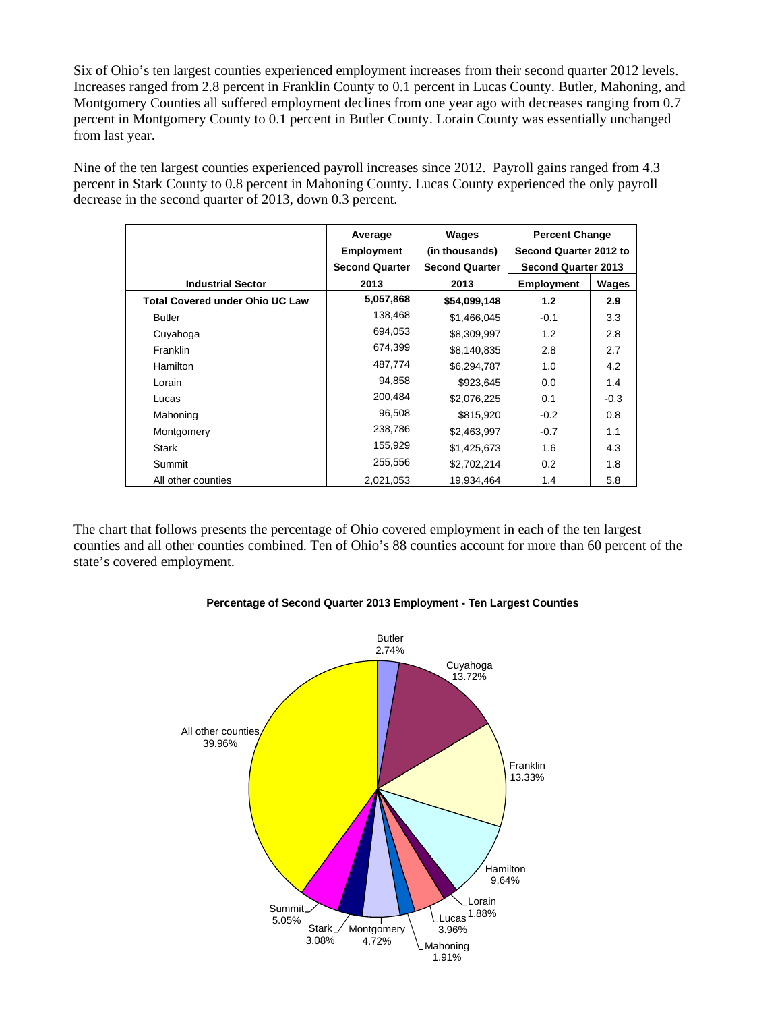Six of Ohio's ten largest counties experienced employment increases from their second quarter 2012 levels. Increases ranged from 2.8 percent in Franklin County to 0.1 percent in Lucas County. Butler, Mahoning, and Montgomery Counties all suffered employment declines from one year ago with decreases ranging from 0.7 percent in Montgomery County to 0.1 percent in Butler County. Lorain County was essentially unchanged from last year.

Nine of the ten largest counties experienced payroll increases since 2012. Payroll gains ranged from 4.3 percent in Stark County to 0.8 percent in Mahoning County. Lucas County experienced the only payroll decrease in the second quarter of 2013, down 0.3 percent.

|                                        | Average               | Wages                 | <b>Percent Change</b>      |        |
|----------------------------------------|-----------------------|-----------------------|----------------------------|--------|
|                                        | <b>Employment</b>     | (in thousands)        | Second Quarter 2012 to     |        |
|                                        | <b>Second Quarter</b> | <b>Second Quarter</b> | <b>Second Quarter 2013</b> |        |
| <b>Industrial Sector</b>               | 2013                  | 2013                  | <b>Employment</b>          | Wages  |
| <b>Total Covered under Ohio UC Law</b> | 5,057,868             | \$54,099,148          | 1.2                        | 2.9    |
| <b>Butler</b>                          | 138,468               | \$1,466,045           | $-0.1$                     | 3.3    |
| Cuyahoga                               | 694,053               | \$8,309,997           | 1.2                        | 2.8    |
| Franklin                               | 674,399               | \$8,140,835           | 2.8                        | 2.7    |
| Hamilton                               | 487,774               | \$6,294,787           | 1.0                        | 4.2    |
| Lorain                                 | 94,858                | \$923,645             | 0.0                        | 1.4    |
| Lucas                                  | 200,484               | \$2,076,225           | 0.1                        | $-0.3$ |
| Mahoning                               | 96,508                | \$815,920             | $-0.2$                     | 0.8    |
| Montgomery                             | 238,786               | \$2,463,997           | $-0.7$                     | 1.1    |
| <b>Stark</b>                           | 155,929               | \$1,425,673           | 1.6                        | 4.3    |
| Summit                                 | 255,556               | \$2,702,214           | 0.2                        | 1.8    |
| All other counties                     | 2,021,053             | 19,934,464            | 1.4                        | 5.8    |

The chart that follows presents the percentage of Ohio covered employment in each of the ten largest counties and all other counties combined. Ten of Ohio's 88 counties account for more than 60 percent of the state's covered employment.



## **Percentage of Second Quarter 2013 Employment - Ten Largest Counties**